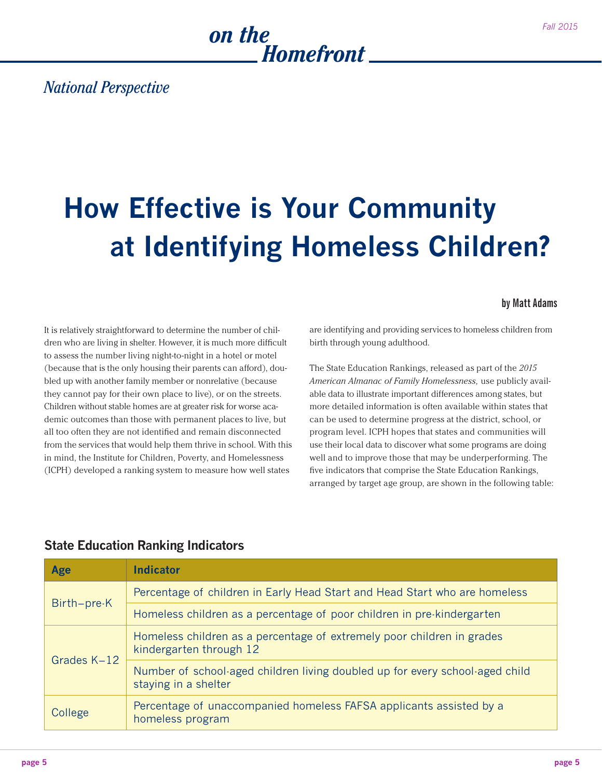

### *National Perspective*

## **How Effective is Your Community at Identifying Homeless Children?**

#### **by Matt Adams**

It is relatively straightforward to determine the number of children who are living in shelter. However, it is much more difficult to assess the number living night-to-night in a hotel or motel (because that is the only housing their parents can afford), doubled up with another family member or nonrelative (because they cannot pay for their own place to live), or on the streets. Children without stable homes are at greater risk for worse academic outcomes than those with permanent places to live, but all too often they are not identified and remain disconnected from the services that would help them thrive in school. With this in mind, the Institute for Children, Poverty, and Homelessness (ICPH) developed a ranking system to measure how well states

are identifying and providing services to homeless children from birth through young adulthood.

The State Education Rankings, released as part of the *2015 American Almanac of Family Homelessness,* use publicly available data to illustrate important differences among states, but more detailed information is often available within states that can be used to determine progress at the district, school, or program level. ICPH hopes that states and communities will use their local data to discover what some programs are doing well and to improve those that may be underperforming. The five indicators that comprise the State Education Rankings, arranged by target age group, are shown in the following table:

| Age         | <b>Indicator</b>                                                                                     |
|-------------|------------------------------------------------------------------------------------------------------|
| Birth-pre-K | Percentage of children in Early Head Start and Head Start who are homeless                           |
|             | Homeless children as a percentage of poor children in pre-kindergarten                               |
| Grades K-12 | Homeless children as a percentage of extremely poor children in grades<br>kindergarten through 12    |
|             | Number of school-aged children living doubled up for every school-aged child<br>staying in a shelter |
| College     | Percentage of unaccompanied homeless FAFSA applicants assisted by a<br>homeless program              |

#### **State Education Ranking Indicators**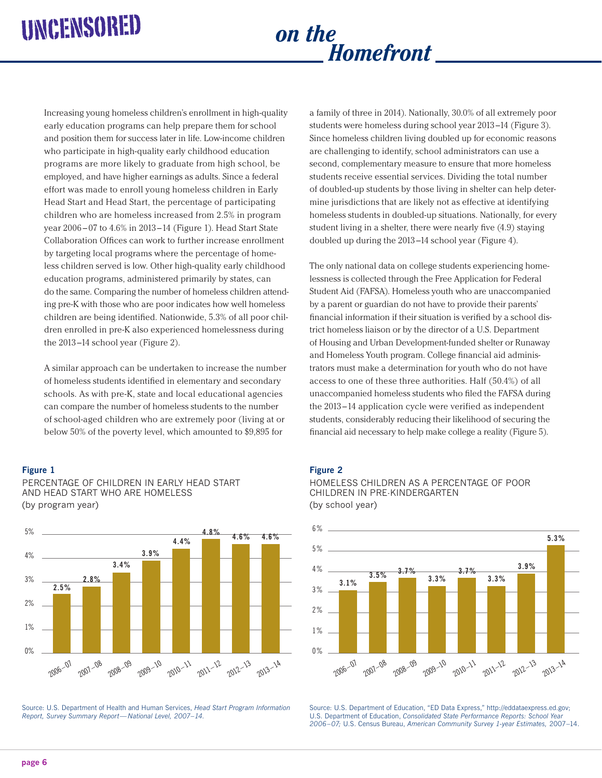# *Homefront*

Increasing young homeless children's enrollment in high-quality early education programs can help prepare them for school and position them for success later in life. Low-income children who participate in high-quality early childhood education programs are more likely to graduate from high school, be employed, and have higher earnings as adults. Since a federal effort was made to enroll young homeless children in Early Head Start and Head Start, the percentage of participating children who are homeless increased from 2.5% in program year 2006 – 07 to 4.6% in 2013 –14 (Figure 1). Head Start State Collaboration Offices can work to further increase enrollment by targeting local programs where the percentage of homeless children served is low. Other high-quality early childhood education programs, administered primarily by states, can do the same. Comparing the number of homeless children attending pre-K with those who are poor indicates how well homeless children are being identified. Nationwide, 5.3% of all poor children enrolled in pre-K also experienced homelessness during the 2013 –14 school year (Figure 2).

A similar approach can be undertaken to increase the number of homeless students identified in elementary and secondary schools. As with pre-K, state and local educational agencies can compare the number of homeless students to the number of school-aged children who are extremely poor (living at or below 50% of the poverty level, which amounted to \$9,895 for

#### **Figure 1**



PERCENTAGE OF CHILDREN IN EARLY HEAD START AND HEAD START WHO ARE HOMELESS (by program year)

Source: U.S. Department of Health and Human Services, *Head Start Program Information Report, Survey Summary Report— National Level, 2007–14.*

a family of three in 2014). Nationally, 30.0% of all extremely poor students were homeless during school year 2013 –14 (Figure 3). Since homeless children living doubled up for economic reasons are challenging to identify, school administrators can use a second, complementary measure to ensure that more homeless students receive essential services. Dividing the total number of doubled-up students by those living in shelter can help determine jurisdictions that are likely not as effective at identifying homeless students in doubled-up situations. Nationally, for every student living in a shelter, there were nearly five (4.9) staying doubled up during the 2013 –14 school year (Figure 4).

The only national data on college students experiencing homelessness is collected through the Free Application for Federal Student Aid (FAFSA). Homeless youth who are unaccompanied by a parent or guardian do not have to provide their parents' financial information if their situation is verified by a school district homeless liaison or by the director of a U.S. Department of Housing and Urban Development-funded shelter or Runaway and Homeless Youth program. College financial aid administrators must make a determination for youth who do not have access to one of these three authorities. Half (50.4%) of all unaccompanied homeless students who filed the FAFSA during the 2013 –14 application cycle were verified as independent students, considerably reducing their likelihood of securing the financial aid necessary to help make college a reality (Figure 5).

#### **Figure 2**





Source: U.S. Department of Education, "ED Data Express,"<http://eddataexpress.ed.gov>; U.S. Department of Education, *Consolidated State Performance Reports: School Year 2006–07;* U.S. Census Bureau, *American Community Survey 1-year Estimates,* 2007–14.